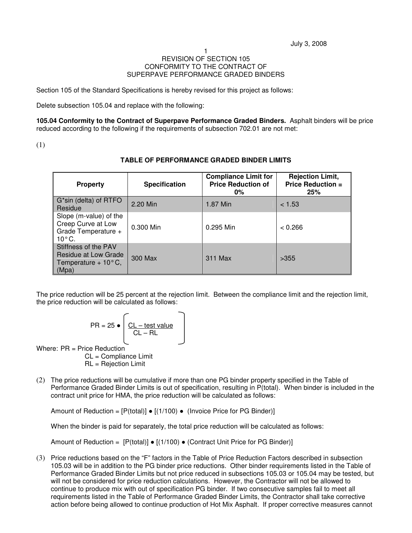## 1 REVISION OF SECTION 105 CONFORMITY TO THE CONTRACT OF SUPERPAVE PERFORMANCE GRADED BINDERS

Section 105 of the Standard Specifications is hereby revised for this project as follows:

Delete subsection 105.04 and replace with the following:

**105.04 Conformity to the Contract of Superpave Performance Graded Binders.** Asphalt binders will be price reduced according to the following if the requirements of subsection 702.01 are not met:

(1)

| <b>Property</b>                                                                        | <b>Specification</b> | <b>Compliance Limit for</b><br><b>Price Reduction of</b><br>$0\%$ | <b>Rejection Limit,</b><br><b>Price Reduction =</b><br>25% |
|----------------------------------------------------------------------------------------|----------------------|-------------------------------------------------------------------|------------------------------------------------------------|
| G*sin (delta) of RTFO<br>Residue                                                       | 2.20 Min             | 1.87 Min                                                          | < 1.53                                                     |
| Slope (m-value) of the<br>Creep Curve at Low<br>Grade Temperature +<br>$10^{\circ}$ C. | 0.300 Min            | 0.295 Min                                                         | < 0.266                                                    |
| Stiffness of the PAV<br>Residue at Low Grade<br>Temperature + $10^{\circ}$ C,<br>(Mpa) | 300 Max              | 311 Max                                                           | >355                                                       |

## **TABLE OF PERFORMANCE GRADED BINDER LIMITS**

The price reduction will be 25 percent at the rejection limit. Between the compliance limit and the rejection limit, the price reduction will be calculated as follows:

$$
PR = 25 \bullet \boxed{\frac{\text{CL} - \text{test value}}{\text{CL} - \text{RL}}}
$$

Where: PR = Price Reduction

CL = Compliance Limit RL = Rejection Limit

(2) The price reductions will be cumulative if more than one PG binder property specified in the Table of Performance Graded Binder Limits is out of specification, resulting in P(total). When binder is included in the contract unit price for HMA, the price reduction will be calculated as follows:

Amount of Reduction =  $[P(\text{total})] \bullet [(1/100) \bullet (\text{Invoice Price for PG Binder})]$ 

When the binder is paid for separately, the total price reduction will be calculated as follows:

Amount of Reduction =  $[P(total)] \bullet [(1/100) \bullet (Contract Unit Price for PG Binder)]$ 

(3) Price reductions based on the "F" factors in the Table of Price Reduction Factors described in subsection 105.03 will be in addition to the PG binder price reductions. Other binder requirements listed in the Table of Performance Graded Binder Limits but not price reduced in subsections 105.03 or 105.04 may be tested, but will not be considered for price reduction calculations. However, the Contractor will not be allowed to continue to produce mix with out of specification PG binder. If two consecutive samples fail to meet all requirements listed in the Table of Performance Graded Binder Limits, the Contractor shall take corrective action before being allowed to continue production of Hot Mix Asphalt. If proper corrective measures cannot